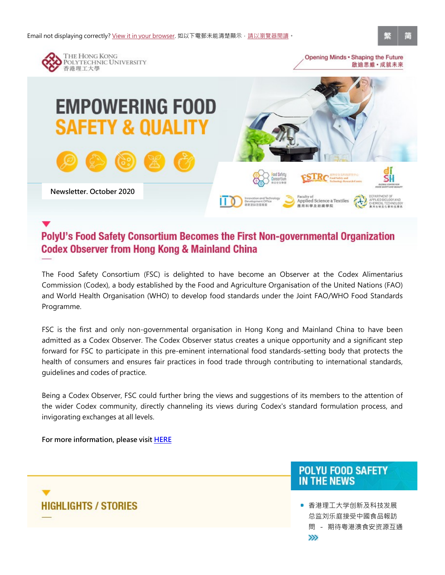

Commission (Codex), a body established by the Food and Agriculture Organisation of the United Nations (FAO) and World Health Organisation (WHO) to develop food standards under the Joint FAO/WHO Food Standards Programme.

admitted as a Codex Observer. The Codex Observer status creates a unique opportunity and a significant step forward for FSC to participate in this pre-eminent international food standards-setting body that protects the health of consumers and ensures fair practices in food trade through contributing to international standards, guidelines and codes of practice.

Being a Codex Observer, FSC could further bring the views and suggestions of its members to the attention of the wider Codex community, directly channeling its views during Codex's standard formulation process, and invigorating exchanges at all levels.

For more information, please visit HERE

■ 香港理工大学创新及科技发展 总监刘乐庭接受中國食品報訪 rtunity and a significant step<br>etting body that protects the<br>g to international standards,<br>members to the attention of<br>ard formulation process, and<br>profection of the attention of<br>and formulation process, and<br>profection o

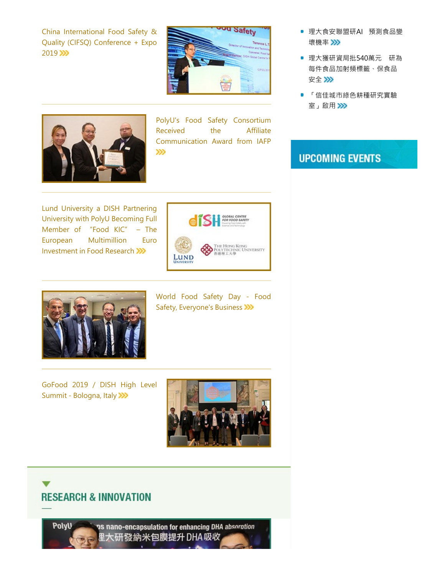Quality (CIFSQ) Conference + Expo 2019 >>>





University with PolyU Becoming Full Investment in Food Research





Safety, Everyone's Business

Summit - Bologna, Italy



# **RESEARCH & INNOVATION**

PolyU

ps nano-encapsulation for enhancing DHA absorotion 里大研發納米包膜提升 DHA 吸收

- 壞機率
- 理大食安聯盟研AI 預測食品變<br>壞機率 2>><br>理大獲研資局批540萬元 研為<br>每件食品加射頻標籤、保食品<br>每件食品加射頻標籤、保食品 ● 理大獲研資局批540萬元 研為 每件食品加射頻標籤、保食品 安全》》
- 「信佳城市綠⾊耕種研究實驗 室」啟用>>>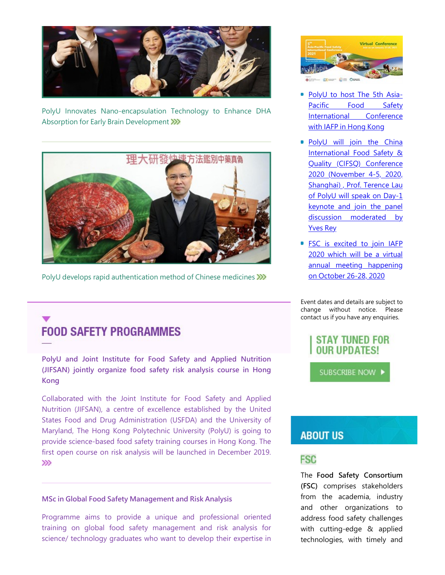

Absorption for Early Brain Development >>>>



PolyU develops rapid authentication method of Chinese medicines >>>>

Kong

Nutrition (Justice excellence and the United States Food shares) with the antitrement of excellence external and the analysis of Collaborated with the John Institute for Food Safety and Applied Nutrition (JUESAN) jointly o FOCUS CHECK CHECK CHECK CHECK CHECK CHECK CHECK CHECK CHECK CHECK CHECK CHECK CHECK CHECK CHECK CHECK CHECK CHECK CHECK CHECK CHECK CHECK CHECK CHECK CHECK CHECK CHECK CHECK CHECK CHECK CHECK CHECK CHECK CHECK CHECK CHECK Maryland, The Hong Kong Polytechnic University (PolyU) is going to **ABOUT US** provide science-based food safety training courses in Hong Kong. The first open course on risk analysis will be launched in December 2019. **FOOD SAFETY PROGRAMMES**<br>
Propyl and Joint Institute for Food Safety and Applied Nutrition<br>
Propyl and Joint Solicity risk analysis course in Hong<br>
SuperCelliborated with the Joint Institute for Food Safety and Applied<br>
Sc THE FORT TUNED FOR STAT TUNED FOR STAT TUNED FOR STAT TUNED FOR COLLED TO A COLLED THAT INTEREST (UIFSAN), a centre of excellence established by the United States Food Safety and Applied Nutrition (JIFSAN), a centre of exc

### MSc in Global Food Safety Management and Risk Analysis

science/ technology graduates who want to develop their expertise in the technologies, with timely and



- with IAFP in Hong Kong
- Virtual Conference<br>
PolyU to host The 5th Asia-<br>
PolyU to host The 5th Asia-<br>
Pacific Food Safety<br>
International Conference<br>
with IAFP in Hong Kong<br>
PolyU will join the China<br>
International Food Safety &<br>
Quality (CIFSQ) C Virtual Conference<br>
International Conference<br>
International Conference<br>
With IAFP in Hong Kong<br>
PolyU will join the China<br>
International Food Safety &<br>
Quality (CIFSQ) Conference<br>
2020 (November 4-5, 2020,<br>
Shanghai), Prof Virtual Conference<br>
PolyU to host The 5th Asia-<br>
Pacific Food Safety<br>
International Conference<br>
with IAFP in Hong Kong<br>
PolyU will join the China<br>
International Food Safety &<br>
Quality (CIFSQ) Conference<br>
2020 (November 4-5 Virtual Conference<br>
2020 (November 4-5, 2020, 2020, 2020, 2020, 2020, 2020, 2020, 2020, 2020, 2020, 2020, 2020, 2020, 2020, 2020, 2020, 2020, 2020, 2020, 2020, 2020, 2020, 2020, 2020, 2020, 2020, 2020, 2020, 2020, 2020, 20 Shanghai) , Prof. Terence Lau of PolyU will speak on Day-1 Example 12<br>
Mirtual Conference<br>
PolyU to host The 5th Asia-<br>
Pacific Food Safety<br>
International Conference<br>
with IAFP in Hong Kong<br>
PolyU will join the China<br>
International Food Safety &<br>
Quality (CIFSQ) Conference<br>
2020 ( Wirtual Conference<br>
The Discussion Markov Christmas Conference<br>
PolyU to host The 5th Asia-<br>
Pacific Food Safety<br>
International Conference<br>
with IAFP in Hong Kong<br>
PolyU will join the China<br>
International Food Safety &<br>
Qu Yves Rey FolyU to host The 5th Asia-<br>Pacific Food Safety<br>International Conference<br>with IAFP in Hong Kong<br>PolyU will join the China<br>International Food Safety &<br>Quality (CIFSQ) Conference<br>2020 (November 4-5, 2020,<br>Shanghai), Prof. Te PolyU to host The 5th Asia-<br>
PolyU to host The 5th Asia-<br>
Pacific Food Safety<br>
International Conference<br>
with IAFP in Hong Kong<br>
PolyU will join the China<br>
International Food Safety &<br>
Quality (CIFSQ) Conference<br>
2020 (Nov annual meeting happening with IAFP in Hong Kong<br>
PolyU will join the China<br>
International Food Safety &<br>
Quality (CIFSQ) Conference<br>
2020 (November 4-5, 2020,<br>
Shanghai), Prof. Terence Lau<br>
of PolyU will speak on Day-1<br>
keynote and join the panel<br>
- on October 26-28, 2020

Event dates and details are subject to contact us if you have any enquiries.



Event dates and details are subject to<br>change without notice. Please<br>contact us if you have any enquiries.<br><br><br><br><br>**SIFAY TUNED FOR<br>OUR UPDATES!**<br><br>SUBSCRIBE NOW <br><br><br>**ABOUT US<br>FSC**<br>The Food Safety Consortium<br>(FSC) comprises stak Event dates and details are subject to<br>change without notice. Please<br>contact us if you have any enquiries.<br><br><br><br><br><br>**STAY TUNED FOR<br>OUR UPDATES!**<br><br><br><br><br><br><br><br><br><br><br><br><br>**SSC SSCSEDE NOW PRESE:<br><br><br><br><br><br><b>SSCSEDE NOW PRESE:**<br><br><br><br><br>**FSC**<br><br><br><br><br><br><br><br><br> change without notice. Please<br>
contact us if you have any enquiries.<br>
SUBSCRIBE NOW <br>
SUBSCRIBE NOW <br>
SUBSCRIBE NOW <br> **ABOUT US**<br> **FSC**<br>
The Food Safety Consortium<br>
(FSC) comprises stakeholders<br>
from the academia, industry STAY TUNED FOR<br>
SUBSCRIBE NOW <br>
SUBSCRIBE NOW <br>
SUBSCRIBE NOW <br>
THE Food Safety Consortium<br>
(FSC) comprises stakeholders<br>
from the academia, industry<br>
and other organizations to<br>
address food safety challenges<br>
with cuttin address food safety challenges **STAT TUNED FUR<br>
CUR UPDATES!**<br>
SUBSCRIBE NOW <br> **ABOUT US**<br> **FSC**<br>
The Food Safety Consortium<br>
(FSC) comprises stakeholders<br>
from the academia, industry<br>
and other organizations to<br>
address food safety challenges<br>
with cut TUUR UPDATES:<br>
SUBSCRIBE NOW<br> **ABOUT US**<br> **FSC**<br>
The Food Safety Consortium<br>
(FSC) comprises stakeholders<br>
from the academia, industry<br>
and other organizations to<br>
address food safety challenges<br>
with cutting-edge & applie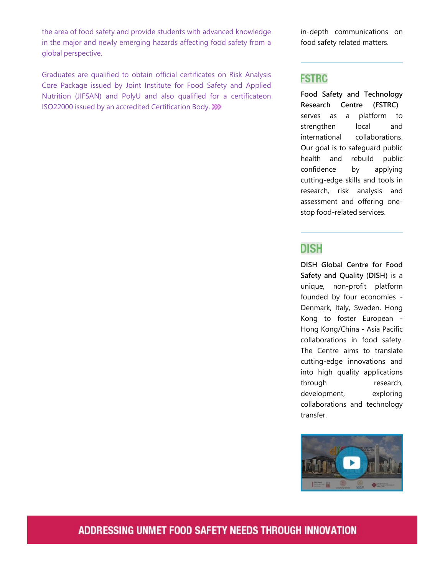the area of food safety and provide students with advanced knowledge in the major and newly emerging hazards affecting food safety from a global perspective.

Graduates are qualified to obtain official certificates on Risk Analysis **FSTRC** the area of food safety and provide students with advanced knowledge<br>
in the major and newly emerging hazards affecting food safety from a<br>
global perspective.<br>
Graduates are qualified to obtain official certificates on Ri the area of food safety and provide students with advanced knowledge<br>
in-depth communications on<br>
findent communications on<br>
food safety related matters.<br>
Graduates are qualified to obtain official certificates on Risk Ana ISO22000 issued by an accredited Certification Body.

in-depth communications on<br>food safety related matters.<br>FSTRC food safety related matters.

in-depth communications on<br>food safety related matters.<br>FSTRC<br>Food Safety and Technology<br>Research Centre (FSTRC)<br>serves as a platform to<br>strengthen local and<br>international collaborations. in-depth communications on<br>food safety related matters.<br>**FSTRC**<br>Food Safety and Technology<br>Research Centre (FSTRC)<br>serves as a platform to<br>strengthen local and<br>international collaborations.<br>Our goal is to safeguard public in-depth communications on<br>food safety related matters.<br>**FSTRC**<br>Food Safety and Technology<br>Research Centre (FSTRC)<br>serves as a platform to<br>strengthen local and<br>international collaborations.<br>Our goal is to safeguard public<br> in-depth communications on<br>food safety related matters.<br>**FSTRC**<br>**Food Safety and Technology<br>Research Centre (FSTRC)**<br>serves as a platform to<br>strengthen local and<br>international collaborations.<br>Our goal is to safeguard publi in-depth communications on<br>
food safety related matters.<br> **FSTRC**<br> **FOOD**<br> **FOOD**<br> **FOOD**<br> **FOOD**<br> **CODE CODE CONTERC**<br> **CODE CODE CONTERCE CONTERCE SAMPLE CONTENT**<br>
of the strengthen local and<br>
international collaboration Our goal is to safeguard public in-depth communications on<br>
food safety related matters.<br> **FSTRC**<br> **Food Safety and Technology**<br> **Research Centre (FSTRC)**<br>
serves as a platform to<br>
strengthen local and<br>
international collaborations.<br>
Our goal is to safeg in-depth communications on<br>
food safety related matters.<br> **FSTRC**<br> **Food Safety and Technology**<br> **Research Centre (FSTRC)**<br>
serves as a platform to<br>
strengthen local and<br>
international collaborations.<br>
Our goal is to safeg cutting-edge skills and tools in research, risk analysis and in-depth communications on<br>
food safety related matters.<br> **FSTRC**<br> **Food Safety and Technology**<br> **Research Centre (FSTRC)**<br>
serves as a platform to<br>
strengthen local and<br>
international collaborations.<br>
Our goal is to safeg stop food-related services. **FSTRC**<br>
Food Safety and Technology<br>
Research Centre (FSTRC)<br>
serves as a platform to<br>
strengthen local and<br>
international collaborations.<br>
Our goal is to safeguard public<br>
confidence by applying<br>
cutting-edge skills and t **Example 18 The Contriguing Control**<br>
Research Centre (FSTRC)<br>
serves as a platform to<br>
strengthen local and<br>
international collaborations.<br>
Our goal is to safeguard public<br>
confidence by applying<br>
cutting-edge skills and Fouries as a platform to<br>strengthen local and<br>international collaborations.<br>Our goal is to safeguard public<br>health and rebuild public<br>confidence by applying<br>cutting-edge skills and tools in<br>research, risk analysis and<br>asse strengthen local and<br>international collaborations.<br>Our goal is to safeguard public<br>health and rebuild public<br>confidence by applying<br>cutting-edge skills and tools in<br>research, risk analysis and<br>assessment and offering one-<br>

Safety and Quality (DISH) is a Example international collaborations.<br>
Our goal is to safeguard public<br>
health and rebuild public<br>
confidence by applying<br>
cutting-edge skills and tools in<br>
research, risk analysis and<br>
assessment and offering one-<br>
stop f Hong Kong/China - Asia Pacific Franchiscondial and rebuild public<br>
confidence by applying<br>
cutting-edge skills and tools in<br>
research, risk analysis and<br>
assessment and offering one-<br>
stop food-related services.<br> **DISH**<br> **DISH Global Centre for Food**<br> From the term of the process of the process confidence by applying cutting-edge skills and tools in research, risk analysis and assessment and offering one-<br>stop food-related services.<br>The Centre for Food Safety and Qualit cutting-edge skills and tools in<br>research, risk analysis and<br>research, risk analysis and<br>assessment and offering one-<br>stop food-related services.<br><br><br><br>**DISH Global Centre for Food**<br>Safety and Quality (DISH) is a<br>unique, non-Example State and Merican Controllation<br>
research, risk analysis and<br>
assessment and offering one-<br>
stop food-related services.<br> **DISH Global Centre for Food**<br> **Safety and Quality (DISH)** is a<br>
unique, non-profit platform<br> **Example 18 The Manuform State Servero American**<br> **CONTREGOTER CONTREGOTER CONTREGOTER CONTREGOTER CONTREGOTER CONTREGOTER CONTREGOTER CONTREGOTER CONTREGOTER CONTREGOTER CONTREGOTER Collaborations in food safety.<br>
The Cen Example 18 The Strate Strate Strate Strate Strate Strate Strate Strate Strate Strate Strate Strate Strate Strate Strate Strate Strate Strate Strate Strate Strate Collaborations in food safety.<br>The Centre aims to translate DISH**<br>
DISH Global Centre for Food<br>
Safety and Quality (DISH) is a<br>
unique, non-profit platform<br>
founded by four economies -<br>
Denmark, Italy, Sweden, Hong<br>
Kong to foster European -<br>
Hong Kong/China - Asia Pacific<br>
collab transfer.



## ADDRESSING UNMET FOOD SAFETY NEEDS THROUGH INNOVATION